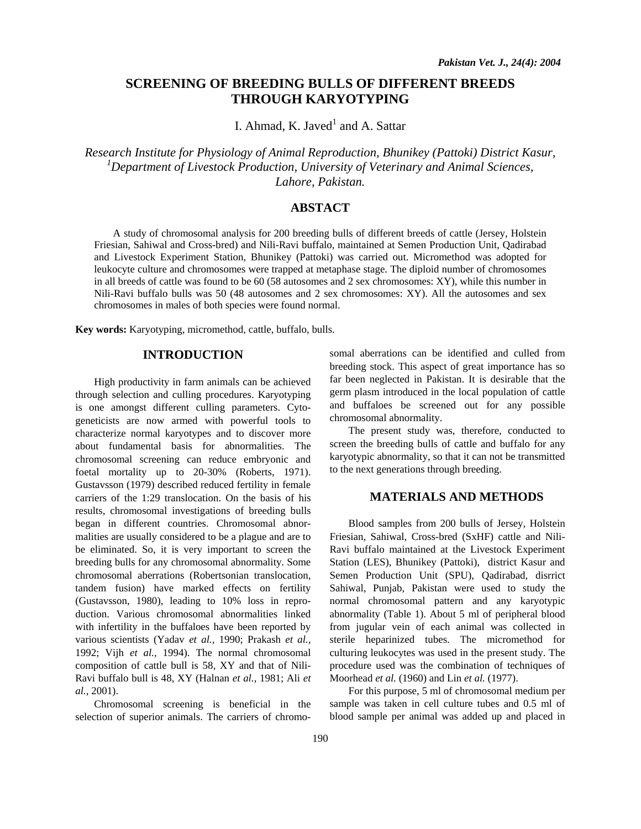# **SCREENING OF BREEDING BULLS OF DIFFERENT BREEDS THROUGH KARYOTYPING**

I. Ahmad, K. Javed $^1$  and A. Sattar

*Research Institute for Physiology of Animal Reproduction, Bhunikey (Pattoki) District Kasur,*  <sup>1</sup> Department of Livestock Production, University of Veterinary and Animal Sciences, *Lahore, Pakistan.* 

## **ABSTACT**

A study of chromosomal analysis for 200 breeding bulls of different breeds of cattle (Jersey, Holstein Friesian, Sahiwal and Cross-bred) and Nili-Ravi buffalo, maintained at Semen Production Unit, Qadirabad and Livestock Experiment Station, Bhunikey (Pattoki) was carried out. Micromethod was adopted for leukocyte culture and chromosomes were trapped at metaphase stage. The diploid number of chromosomes in all breeds of cattle was found to be 60 (58 autosomes and 2 sex chromosomes: XY), while this number in Nili-Ravi buffalo bulls was 50 (48 autosomes and 2 sex chromosomes: XY). All the autosomes and sex chromosomes in males of both species were found normal.

**Key words:** Karyotyping, micromethod, cattle, buffalo, bulls.

### **INTRODUCTION**

High productivity in farm animals can be achieved through selection and culling procedures. Karyotyping is one amongst different culling parameters. Cytogeneticists are now armed with powerful tools to characterize normal karyotypes and to discover more about fundamental basis for abnormalities. The chromosomal screening can reduce embryonic and foetal mortality up to 20-30% (Roberts, 1971). Gustavsson (1979) described reduced fertility in female carriers of the 1:29 translocation. On the basis of his results, chromosomal investigations of breeding bulls began in different countries. Chromosomal abnormalities are usually considered to be a plague and are to be eliminated. So, it is very important to screen the breeding bulls for any chromosomal abnormality. Some chromosomal aberrations (Robertsonian translocation, tandem fusion) have marked effects on fertility (Gustavsson, 1980), leading to 10% loss in reproduction. Various chromosomal abnormalities linked with infertility in the buffaloes have been reported by various scientists (Yadav *et al.,* 1990; Prakash *et al.,* 1992; Vijh *et al.,* 1994). The normal chromosomal composition of cattle bull is 58, XY and that of Nili-Ravi buffalo bull is 48, XY (Halnan *et al.*, 1981; Ali *et al.*, 2001).

Chromosomal screening is beneficial in the selection of superior animals. The carriers of chromosomal aberrations can be identified and culled from breeding stock. This aspect of great importance has so far been neglected in Pakistan. It is desirable that the germ plasm introduced in the local population of cattle and buffaloes be screened out for any possible chromosomal abnormality.

The present study was, therefore, conducted to screen the breeding bulls of cattle and buffalo for any karyotypic abnormality, so that it can not be transmitted to the next generations through breeding.

## **MATERIALS AND METHODS**

Blood samples from 200 bulls of Jersey, Holstein Friesian, Sahiwal, Cross-bred (SxHF) cattle and Nili-Ravi buffalo maintained at the Livestock Experiment Station (LES), Bhunikey (Pattoki), district Kasur and Semen Production Unit (SPU), Qadirabad, disrrict Sahiwal, Punjab, Pakistan were used to study the normal chromosomal pattern and any karyotypic abnormality (Table 1). About 5 ml of peripheral blood from jugular vein of each animal was collected in sterile heparinized tubes. The micromethod for culturing leukocytes was used in the present study. The procedure used was the combination of techniques of Moorhead *et al.* (1960) and Lin *et al.* (1977).

For this purpose, 5 ml of chromosomal medium per sample was taken in cell culture tubes and 0.5 ml of blood sample per animal was added up and placed in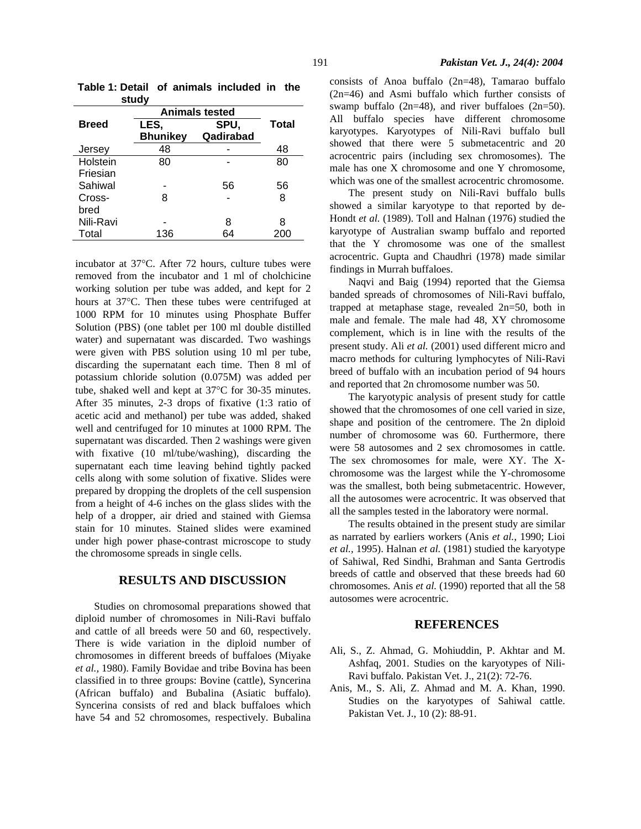| otuu y       |                       |           |       |
|--------------|-----------------------|-----------|-------|
|              | <b>Animals tested</b> |           |       |
| <b>Breed</b> | LES,                  | SPU,      | Total |
|              | <b>Bhunikey</b>       | Qadirabad |       |
| Jersey       | 48                    |           | 48    |
| Holstein     | 80                    |           | 80    |
| Friesian     |                       |           |       |
| Sahiwal      |                       | 56        | 56    |
| Cross-       | 8                     |           | 8     |
| bred         |                       |           |       |
| Nili-Ravi    |                       | 8         | 8     |
| Total        | 136                   | 64        |       |

**Table 1: Detail of animals included in the study** 

incubator at 37°C. After 72 hours, culture tubes were removed from the incubator and 1 ml of cholchicine working solution per tube was added, and kept for 2 hours at 37°C. Then these tubes were centrifuged at 1000 RPM for 10 minutes using Phosphate Buffer Solution (PBS) (one tablet per 100 ml double distilled water) and supernatant was discarded. Two washings were given with PBS solution using 10 ml per tube, discarding the supernatant each time. Then 8 ml of potassium chloride solution (0.075M) was added per tube, shaked well and kept at 37°C for 30-35 minutes. After 35 minutes, 2-3 drops of fixative (1:3 ratio of acetic acid and methanol) per tube was added, shaked well and centrifuged for 10 minutes at 1000 RPM. The supernatant was discarded. Then 2 washings were given with fixative (10 ml/tube/washing), discarding the supernatant each time leaving behind tightly packed cells along with some solution of fixative. Slides were prepared by dropping the droplets of the cell suspension from a height of 4-6 inches on the glass slides with the help of a dropper, air dried and stained with Giemsa stain for 10 minutes. Stained slides were examined under high power phase-contrast microscope to study the chromosome spreads in single cells.

#### **RESULTS AND DISCUSSION**

Studies on chromosomal preparations showed that diploid number of chromosomes in Nili-Ravi buffalo and cattle of all breeds were 50 and 60, respectively. There is wide variation in the diploid number of chromosomes in different breeds of buffaloes (Miyake *et al.,* 1980). Family Bovidae and tribe Bovina has been classified in to three groups: Bovine (cattle), Syncerina (African buffalo) and Bubalina (Asiatic buffalo). Syncerina consists of red and black buffaloes which have 54 and 52 chromosomes, respectively. Bubalina consists of Anoa buffalo (2n=48), Tamarao buffalo (2n=46) and Asmi buffalo which further consists of swamp buffalo  $(2n=48)$ , and river buffaloes  $(2n=50)$ . All buffalo species have different chromosome karyotypes. Karyotypes of Nili-Ravi buffalo bull showed that there were 5 submetacentric and 20 acrocentric pairs (including sex chromosomes). The male has one X chromosome and one Y chromosome, which was one of the smallest acrocentric chromosome.

The present study on Nili-Ravi buffalo bulls showed a similar karyotype to that reported by de-Hondt *et al.* (1989). Toll and Halnan (1976) studied the karyotype of Australian swamp buffalo and reported that the Y chromosome was one of the smallest acrocentric. Gupta and Chaudhri (1978) made similar findings in Murrah buffaloes.

Naqvi and Baig (1994) reported that the Giemsa banded spreads of chromosomes of Nili-Ravi buffalo, trapped at metaphase stage, revealed 2n=50, both in male and female. The male had 48, XY chromosome complement, which is in line with the results of the present study. Ali *et al.* (2001) used different micro and macro methods for culturing lymphocytes of Nili-Ravi breed of buffalo with an incubation period of 94 hours and reported that 2n chromosome number was 50.

The karyotypic analysis of present study for cattle showed that the chromosomes of one cell varied in size, shape and position of the centromere. The 2n diploid number of chromosome was 60. Furthermore, there were 58 autosomes and 2 sex chromosomes in cattle. The sex chromosomes for male, were XY. The Xchromosome was the largest while the Y-chromosome was the smallest, both being submetacentric. However, all the autosomes were acrocentric. It was observed that all the samples tested in the laboratory were normal.

The results obtained in the present study are similar as narrated by earliers workers (Anis *et al.,* 1990; Lioi *et al.,* 1995). Halnan *et al.* (1981) studied the karyotype of Sahiwal, Red Sindhi, Brahman and Santa Gertrodis breeds of cattle and observed that these breeds had 60 chromosomes. Anis *et al.* (1990) reported that all the 58 autosomes were acrocentric.

#### **REFERENCES**

- Ali, S., Z. Ahmad, G. Mohiuddin, P. Akhtar and M. Ashfaq, 2001. Studies on the karyotypes of Nili-Ravi buffalo. Pakistan Vet. J., 21(2): 72-76.
- Anis, M., S. Ali, Z. Ahmad and M. A. Khan, 1990. Studies on the karyotypes of Sahiwal cattle. Pakistan Vet. J., 10 (2): 88-91.